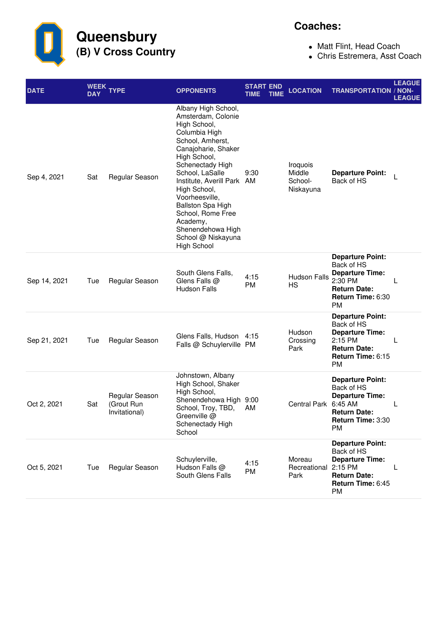**Queensbury (B) V Cross Country**

## **Coaches:**

- Matt Flint, Head Coach
- Chris Estremera, Asst Coach

| <b>DATE</b>  | WEEK<br><b>DAY</b> | <b>TYPE</b>                                   | <b>OPPONENTS</b>                                                                                                                                                                                                                                                                                                                                                           | <b>START END</b><br>TIME | <b>LOCATION</b><br><b>TIME</b>             | <b>TRANSPORTATION / NON-</b>                                                                                                                     | <b>LEAGUE</b><br><b>LEAGUE</b> |
|--------------|--------------------|-----------------------------------------------|----------------------------------------------------------------------------------------------------------------------------------------------------------------------------------------------------------------------------------------------------------------------------------------------------------------------------------------------------------------------------|--------------------------|--------------------------------------------|--------------------------------------------------------------------------------------------------------------------------------------------------|--------------------------------|
| Sep 4, 2021  | Sat                | Regular Season                                | Albany High School,<br>Amsterdam, Colonie<br>High School,<br>Columbia High<br>School, Amherst,<br>Canajoharie, Shaker<br>High School,<br>Schenectady High<br>School, LaSalle<br>Institute, Averill Park AM<br>High School,<br>Voorheesville,<br><b>Ballston Spa High</b><br>School, Rome Free<br>Academy,<br>Shenendehowa High<br>School @ Niskayuna<br><b>High School</b> | 9:30                     | Iroquois<br>Middle<br>School-<br>Niskayuna | <b>Departure Point:</b><br>Back of HS                                                                                                            | L                              |
| Sep 14, 2021 | Tue                | Regular Season                                | South Glens Falls,<br>Glens Falls @<br><b>Hudson Falls</b>                                                                                                                                                                                                                                                                                                                 | 4:15<br><b>PM</b>        | <b>Hudson Falls</b><br>HS                  | <b>Departure Point:</b><br>Back of HS<br><b>Departure Time:</b><br>2:30 PM<br><b>Return Date:</b><br>Return Time: 6:30<br>PM                     | L                              |
| Sep 21, 2021 | Tue                | Regular Season                                | Glens Falls, Hudson 4:15<br>Falls @ Schuylerville PM                                                                                                                                                                                                                                                                                                                       |                          | Hudson<br>Crossing<br>Park                 | <b>Departure Point:</b><br>Back of HS<br><b>Departure Time:</b><br>2:15 PM<br><b>Return Date:</b><br>Return Time: 6:15<br><b>PM</b>              | L                              |
| Oct 2, 2021  | Sat                | Regular Season<br>(Grout Run<br>Invitational) | Johnstown, Albany<br>High School, Shaker<br>High School,<br>Shenendehowa High 9:00<br>School, Troy, TBD,<br>Greenville @<br>Schenectady High<br>School                                                                                                                                                                                                                     | AM                       |                                            | <b>Departure Point:</b><br>Back of HS<br><b>Departure Time:</b><br>Central Park 6:45 AM<br><b>Return Date:</b><br>Return Time: 3:30<br><b>PM</b> | L                              |
| Oct 5, 2021  | Tue                | Regular Season                                | Schuylerville,<br>Hudson Falls @<br>South Glens Falls                                                                                                                                                                                                                                                                                                                      | 4:15<br>PM               | Moreau<br>Recreational<br>Park             | <b>Departure Point:</b><br>Back of HS<br><b>Departure Time:</b><br>2:15 PM<br><b>Return Date:</b><br>Return Time: 6:45<br><b>PM</b>              | L                              |